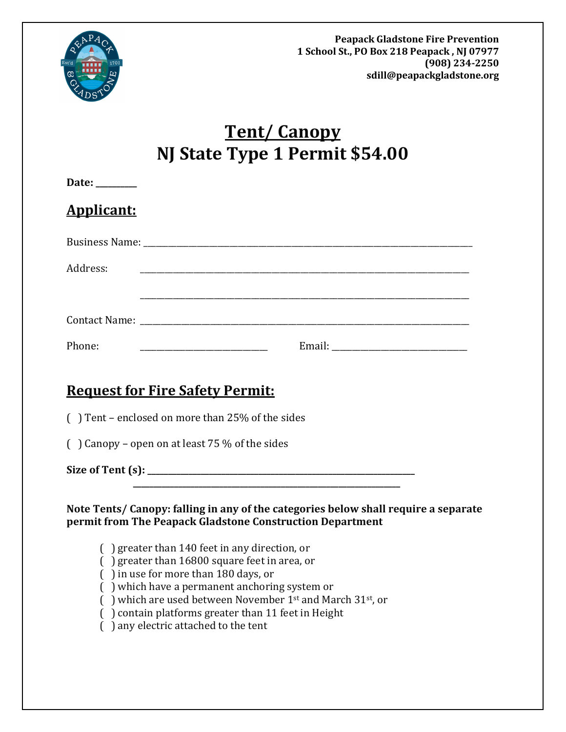

# **Tent/ Canopy NJ State Type 1 Permit \$54.00**

| Date: ________ |                                                                                                                                                                                                                                                                                                                                                                                                                                                                                                                                              |
|----------------|----------------------------------------------------------------------------------------------------------------------------------------------------------------------------------------------------------------------------------------------------------------------------------------------------------------------------------------------------------------------------------------------------------------------------------------------------------------------------------------------------------------------------------------------|
| Applicant:     |                                                                                                                                                                                                                                                                                                                                                                                                                                                                                                                                              |
|                |                                                                                                                                                                                                                                                                                                                                                                                                                                                                                                                                              |
| Address:       |                                                                                                                                                                                                                                                                                                                                                                                                                                                                                                                                              |
|                |                                                                                                                                                                                                                                                                                                                                                                                                                                                                                                                                              |
| Phone:         |                                                                                                                                                                                                                                                                                                                                                                                                                                                                                                                                              |
|                | <u> Request for Fire Safety Permit:</u>                                                                                                                                                                                                                                                                                                                                                                                                                                                                                                      |
|                | () Tent - enclosed on more than 25% of the sides                                                                                                                                                                                                                                                                                                                                                                                                                                                                                             |
|                | $($ ) Canopy – open on at least 75 % of the sides                                                                                                                                                                                                                                                                                                                                                                                                                                                                                            |
|                |                                                                                                                                                                                                                                                                                                                                                                                                                                                                                                                                              |
|                | Note Tents/ Canopy: falling in any of the categories below shall require a separate<br>permit from The Peapack Gladstone Construction Department<br>$($ ) greater than 140 feet in any direction, or<br>$( )$ greater than 16800 square feet in area, or<br>() in use for more than 180 days, or<br>() which have a permanent anchoring system or<br>$\int$ ) which are used between November 1 <sup>st</sup> and March 31 <sup>st</sup> , or<br>() contain platforms greater than 11 feet in Height<br>() any electric attached to the tent |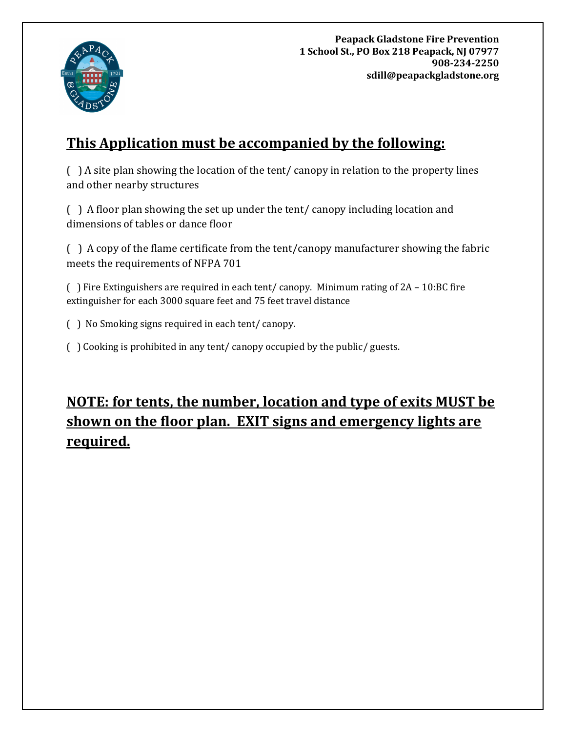

**Peapack Gladstone Fire Prevention 1 School St., PO Box 218 Peapack, NJ 07977 908-234-2250 sdill@peapackgladstone.org**

### **This Application must be accompanied by the following:**

( ) A site plan showing the location of the tent/ canopy in relation to the property lines and other nearby structures

( ) A floor plan showing the set up under the tent/ canopy including location and dimensions of tables or dance floor

( ) A copy of the flame certificate from the tent/canopy manufacturer showing the fabric meets the requirements of NFPA 701

( ) Fire Extinguishers are required in each tent/ canopy. Minimum rating of 2A – 10:BC fire extinguisher for each 3000 square feet and 75 feet travel distance

( ) No Smoking signs required in each tent/ canopy.

( ) Cooking is prohibited in any tent/ canopy occupied by the public/ guests.

## **NOTE: for tents, the number, location and type of exits MUST be shown on the floor plan. EXIT signs and emergency lights are required.**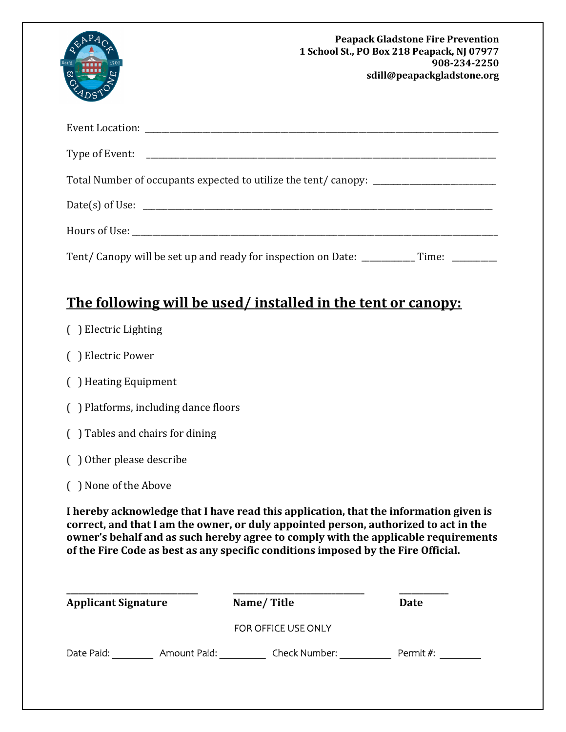| Est'd<br>1701<br>ග                                                                       | <b>Peapack Gladstone Fire Prevention</b><br>1 School St., PO Box 218 Peapack, NJ 07977<br>908-234-2250<br>sdill@peapackgladstone.org |
|------------------------------------------------------------------------------------------|--------------------------------------------------------------------------------------------------------------------------------------|
|                                                                                          |                                                                                                                                      |
|                                                                                          |                                                                                                                                      |
| Total Number of occupants expected to utilize the tent/canopy:                           |                                                                                                                                      |
|                                                                                          |                                                                                                                                      |
|                                                                                          |                                                                                                                                      |
| Tent/Canopy will be set up and ready for inspection on Date: _____________Time: ________ |                                                                                                                                      |

### **The following will be used/ installed in the tent or canopy:**

- ( ) Electric Lighting
- ( ) Electric Power
- ( ) Heating Equipment
- ( ) Platforms, including dance floors
- ( ) Tables and chairs for dining
- ( ) Other please describe
- ( ) None of the Above

**I hereby acknowledge that I have read this application, that the information given is correct, and that I am the owner, or duly appointed person, authorized to act in the owner's behalf and as such hereby agree to comply with the applicable requirements of the Fire Code as best as any specific conditions imposed by the Fire Official.**

| <b>Applicant Signature</b> |              | Name/Title          | Date      |
|----------------------------|--------------|---------------------|-----------|
|                            |              | FOR OFFICE USE ONLY |           |
| Date Paid:                 | Amount Paid: | Check Number:       | Permit #: |